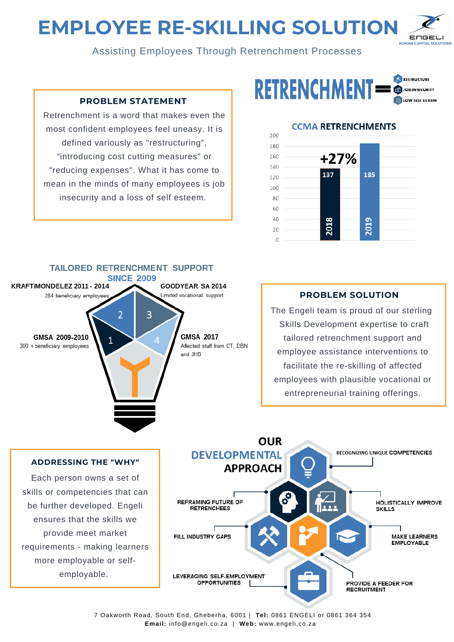# **EMPLOYEE RE-SKILLING SOLUTION**



Assisting Employees Through Retrenchment Processes

# **PROBLEM STATEMENT**

Retrenchment is a word that makes even the most confident employees feel uneasy. It is defined variously as "restructuring", "introducing cost cutting measures" or "reducing expenses". What it has come to mean in the minds of many employees is job insecurity and a loss of self esteem.



# **CCMA RETRENCHMENTS**





# **PROBLEM SOLUTION**

The Engeli team is proud of our sterling Skills Development expertise to craft tailored retrenchment support and employee assistance interventions to facilitate the re-skilling of affected employees with plausible vocational or entrepreneurial training offerings.



### **ADDRESSING THE "WHY"**

Each person owns a set of skills or competencies that can be further developed. Engeli ensures that the skills we provide meet market requirements - making learners more employable or selfemployable.